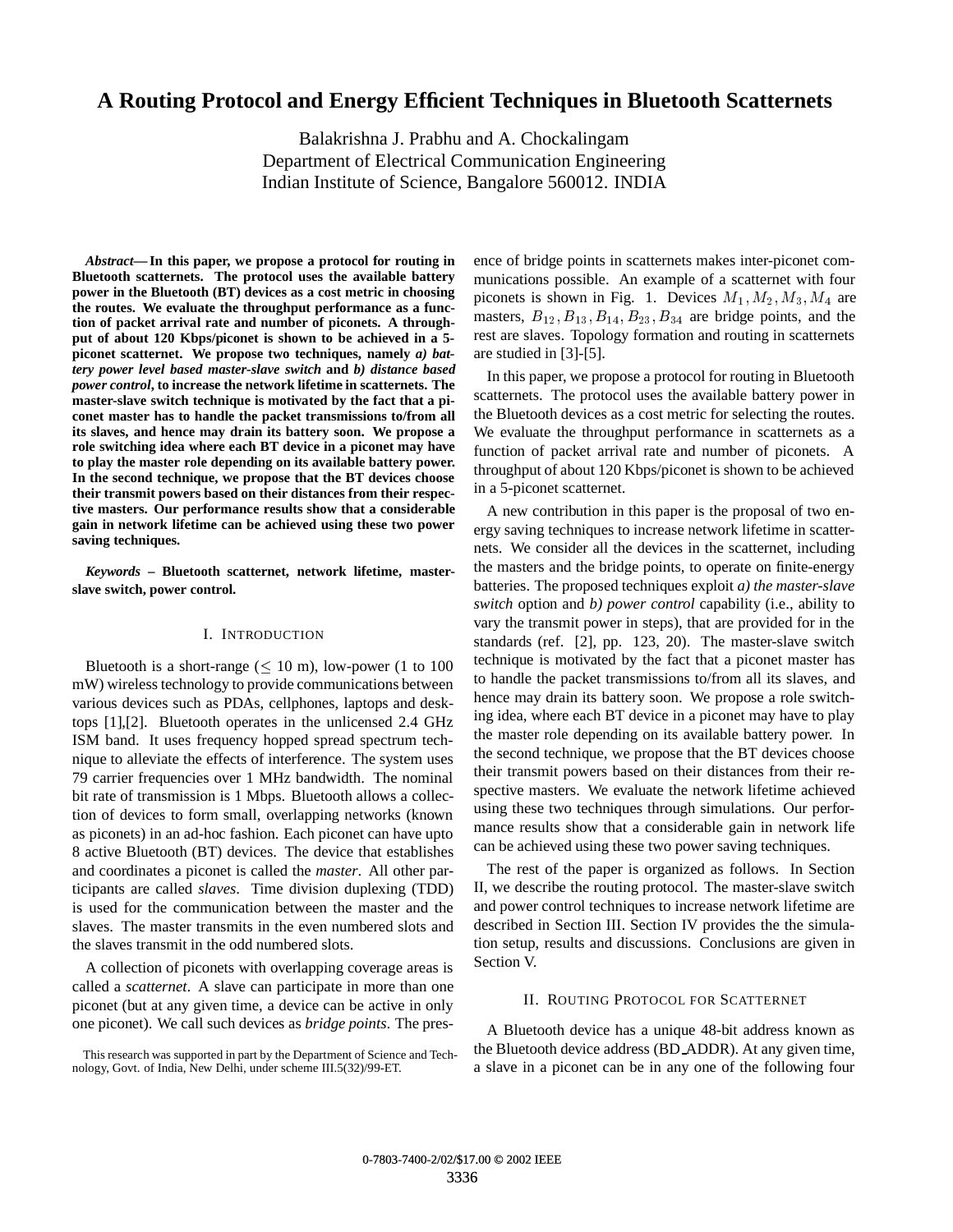# **A Routing Protocol and Energy Efficient Techniques in Bluetooth Scatternets**

Balakrishna J. Prabhu and A. Chockalingam Department of Electrical Communication Engineering Indian Institute of Science, Bangalore 560012. INDIA

*Abstract***— In this paper, we propose a protocol for routing in Bluetooth scatternets. The protocol uses the available battery power in the Bluetooth (BT) devices as a cost metric in choosing the routes. We evaluate the throughput performance as a function of packet arrival rate and number of piconets. A throughput of about 120 Kbps/piconet is shown to be achieved in a 5 piconet scatternet. We propose two techniques, namely** *a) battery power level based master-slave switch* **and** *b) distance based power control***, to increase the network lifetime in scatternets. The master-slave switch technique is motivated by the fact that a piconet master has to handle the packet transmissions to/from all its slaves, and hence may drain its battery soon. We propose a role switching idea where each BT device in a piconet may have to play the master role depending on its available battery power. In the second technique, we propose that the BT devices choose their transmit powers based on their distances from their respective masters. Our performance results show that a considerable gain in network lifetime can be achieved using these two power saving techniques.**

*Keywords* **– Bluetooth scatternet, network lifetime, masterslave switch, power control.**

## I. INTRODUCTION

Bluetooth is a short-range  $(< 10 \text{ m})$ , low-power (1 to 100) mW) wireless technology to provide communications between various devices such as PDAs, cellphones, laptops and desktops [1],[2]. Bluetooth operates in the unlicensed 2.4 GHz ISM band. It uses frequency hopped spread spectrum technique to alleviate the effects of interference. The system uses 79 carrier frequencies over 1 MHz bandwidth. The nominal bit rate of transmission is 1 Mbps. Bluetooth allows a collection of devices to form small, overlapping networks (known as piconets) in an ad-hoc fashion. Each piconet can have upto 8 active Bluetooth (BT) devices. The device that establishes and coordinates a piconet is called the *master*. All other participants are called *slaves*. Time division duplexing (TDD) is used for the communication between the master and the slaves. The master transmits in the even numbered slots and the slaves transmit in the odd numbered slots.

A collection of piconets with overlapping coverage areas is called a *scatternet*. A slave can participate in more than one piconet (but at any given time, a device can be active in only one piconet). We call such devices as *bridge points*. The presence of bridge points in scatternets makes inter-piconet communications possible. An example of a scatternet with four piconets is shown in Fig. 1. Devices  $M_1, M_2, M_3, M_4$  are masters,  $B_{12}$ ,  $B_{13}$ ,  $B_{14}$ ,  $B_{23}$ ,  $B_{34}$  are bridge points, and the rest are slaves. Topology formation and routing in scatternets are studied in [3]-[5].

In this paper, we propose a protocol for routing in Bluetooth scatternets. The protocol uses the available battery power in the Bluetooth devices as a cost metric for selecting the routes. We evaluate the throughput performance in scatternets as a function of packet arrival rate and number of piconets. A throughput of about 120 Kbps/piconet is shown to be achieved in a 5-piconet scatternet.

A new contribution in this paper is the proposal of two energy saving techniques to increase network lifetime in scatternets. We consider all the devices in the scatternet, including the masters and the bridge points, to operate on finite-energy batteries. The proposed techniques exploit *a) the master-slave switch* option and *b) power control* capability (i.e., ability to vary the transmit power in steps), that are provided for in the standards (ref. [2], pp. 123, 20). The master-slave switch technique is motivated by the fact that a piconet master has to handle the packet transmissions to/from all its slaves, and hence may drain its battery soon. We propose a role switching idea, where each BT device in a piconet may have to play the master role depending on its available battery power. In the second technique, we propose that the BT devices choose their transmit powers based on their distances from their respective masters. We evaluate the network lifetime achieved using these two techniques through simulations. Our performance results show that a considerable gain in network life can be achieved using these two power saving techniques.

The rest of the paper is organized as follows. In Section II, we describe the routing protocol. The master-slave switch and power control techniques to increase network lifetime are described in Section III. Section IV provides the the simulation setup, results and discussions. Conclusions are given in Section V.

## II. ROUTING PROTOCOL FOR SCATTERNET

A Bluetooth device has a unique 48-bit address known as the Bluetooth device address (BD ADDR). At any given time, a slave in a piconet can be in any one of the following four

This research was supported in part by the Department of Science and Technology, Govt. of India, New Delhi, under scheme III.5(32)/99-ET.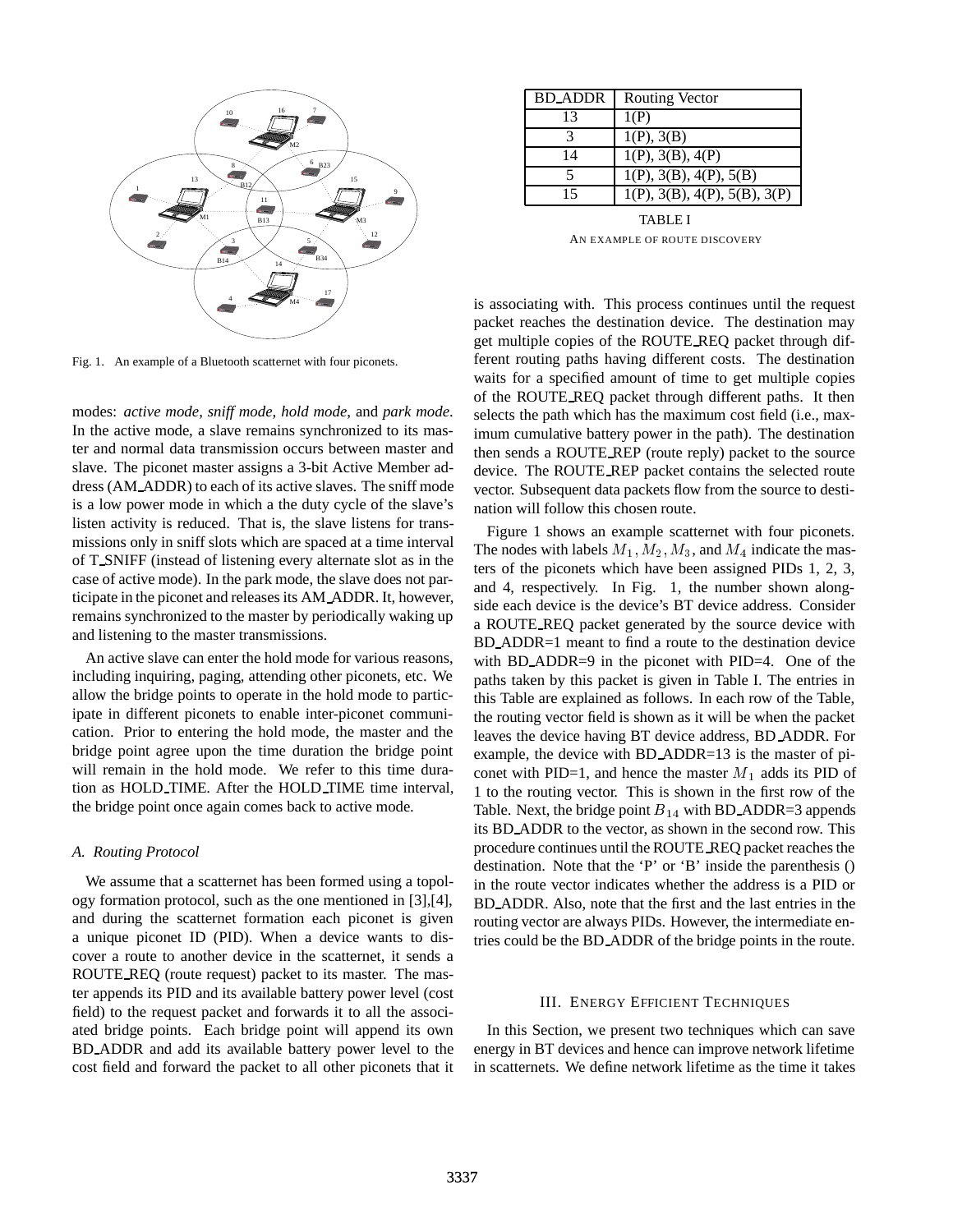

Fig. 1. An example of a Bluetooth scatternet with four piconets.

modes: *active mode*, *sniff mode*, *hold mode*, and *park mode*. In the active mode, a slave remains synchronized to its master and normal data transmission occurs between master and slave. The piconet master assigns a 3-bit Active Member address (AM ADDR) to each of its active slaves. The sniff mode is a low power mode in which a the duty cycle of the slave's listen activity is reduced. That is, the slave listens for transmissions only in sniff slots which are spaced at a time interval of T SNIFF (instead of listening every alternate slot as in the case of active mode). In the park mode, the slave does not participate in the piconet and releases its AM ADDR. It, however, remains synchronized to the master by periodically waking up and listening to the master transmissions.

An active slave can enter the hold mode for various reasons, including inquiring, paging, attending other piconets, etc. We allow the bridge points to operate in the hold mode to participate in different piconets to enable inter-piconet communication. Prior to entering the hold mode, the master and the bridge point agree upon the time duration the bridge point will remain in the hold mode. We refer to this time duration as HOLD TIME. After the HOLD TIME time interval, the bridge point once again comes back to active mode.

### *A. Routing Protocol*

We assume that a scatternet has been formed using a topology formation protocol, such as the one mentioned in [3],[4], and during the scatternet formation each piconet is given a unique piconet ID (PID). When a device wants to discover a route to another device in the scatternet, it sends a ROUTE REQ (route request) packet to its master. The master appends its PID and its available battery power level (cost field) to the request packet and forwards it to all the associated bridge points. Each bridge point will append its own BD ADDR and add its available battery power level to the cost field and forward the packet to all other piconets that it

| <b>BD_ADDR</b> | <b>Routing Vector</b>        |
|----------------|------------------------------|
| 13             | 1(P)                         |
|                | 1(P), 3(B)                   |
| 14             | 1(P), 3(B), 4(P)             |
| 5              | 1(P), 3(B), 4(P), 5(B)       |
| 15             | 1(P), 3(B), 4(P), 5(B), 3(P) |

TABLE I AN EXAMPLE OF ROUTE DISCOVERY

is associating with. This process continues until the request packet reaches the destination device. The destination may get multiple copies of the ROUTE REQ packet through different routing paths having different costs. The destination waits for a specified amount of time to get multiple copies of the ROUTE REQ packet through different paths. It then selects the path which has the maximum cost field (i.e., maximum cumulative battery power in the path). The destination then sends a ROUTE REP (route reply) packet to the source device. The ROUTE REP packet contains the selected route vector. Subsequent data packets flow from the source to destination will follow this chosen route.

Figure 1 shows an example scatternet with four piconets. The nodes with labels  $M_1, M_2, M_3$ , and  $M_4$  indicate the masters of the piconets which have been assigned PIDs 1, 2, 3, and 4, respectively. In Fig. 1, the number shown alongside each device is the device's BT device address. Consider a ROUTE REQ packet generated by the source device with BD ADDR=1 meant to find a route to the destination device with BD\_ADDR=9 in the piconet with PID=4. One of the paths taken by this packet is given in Table I. The entries in this Table are explained as follows. In each row of the Table, the routing vector field is shown as it will be when the packet leaves the device having BT device address, BD ADDR. For example, the device with BD ADDR=13 is the master of piconet with PID=1, and hence the master  $M_1$  adds its PID of 1 to the routing vector. This is shown in the first row of the Table. Next, the bridge point  $B_{14}$  with BD\_ADDR=3 appends its BD ADDR to the vector, as shown in the second row. This procedure continues until the ROUTE REQ packet reaches the destination. Note that the 'P' or 'B' inside the parenthesis () in the route vector indicates whether the address is a PID or BD ADDR. Also, note that the first and the last entries in the routing vector are always PIDs. However, the intermediate entries could be the BD ADDR of the bridge points in the route.

## III. ENERGY EFFICIENT TECHNIQUES

In this Section, we present two techniques which can save energy in BT devices and hence can improve network lifetime in scatternets. We define network lifetime as the time it takes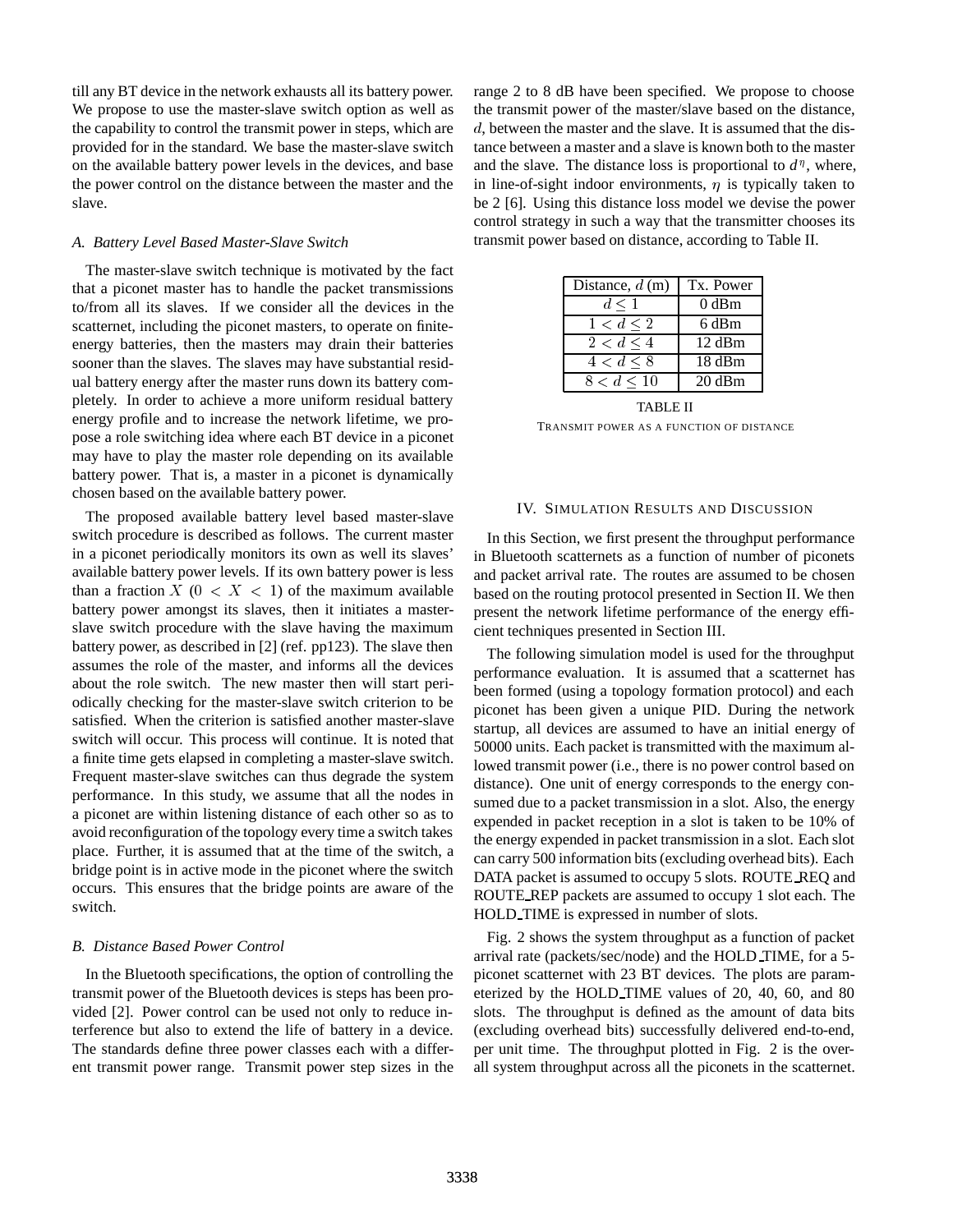till any BT device in the network exhausts all its battery power. We propose to use the master-slave switch option as well as the capability to control the transmit power in steps, which are provided for in the standard. We base the master-slave switch on the available battery power levels in the devices, and base the power control on the distance between the master and the slave.

#### *A. Battery Level Based Master-Slave Switch*

The master-slave switch technique is motivated by the fact that a piconet master has to handle the packet transmissions to/from all its slaves. If we consider all the devices in the scatternet, including the piconet masters, to operate on finiteenergy batteries, then the masters may drain their batteries sooner than the slaves. The slaves may have substantial residual battery energy after the master runs down its battery completely. In order to achieve a more uniform residual battery energy profile and to increase the network lifetime, we propose a role switching idea where each BT device in a piconet may have to play the master role depending on its available battery power. That is, a master in a piconet is dynamically chosen based on the available battery power.

The proposed available battery level based master-slave switch procedure is described as follows. The current master in a piconet periodically monitors its own as well its slaves' available battery power levels. If its own battery power is less than a fraction  $X$  ( $0 < X < 1$ ) of the maximum available battery power amongst its slaves, then it initiates a masterslave switch procedure with the slave having the maximum battery power, as described in [2] (ref. pp123). The slave then assumes the role of the master, and informs all the devices about the role switch. The new master then will start periodically checking for the master-slave switch criterion to be satisfied. When the criterion is satisfied another master-slave switch will occur. This process will continue. It is noted that a finite time gets elapsed in completing a master-slave switch. Frequent master-slave switches can thus degrade the system performance. In this study, we assume that all the nodes in a piconet are within listening distance of each other so as to avoid reconfiguration of the topology every time a switch takes place. Further, it is assumed that at the time of the switch, a bridge point is in active mode in the piconet where the switch occurs. This ensures that the bridge points are aware of the switch.

## *B. Distance Based Power Control*

In the Bluetooth specifications, the option of controlling the transmit power of the Bluetooth devices is steps has been provided [2]. Power control can be used not only to reduce interference but also to extend the life of battery in a device. The standards define three power classes each with a different transmit power range. Transmit power step sizes in the range 2 to 8 dB have been specified. We propose to choose the transmit power of the master/slave based on the distance, d, between the master and the slave. It is assumed that the distance between a master and a slave is known both to the master and the slave. The distance loss is proportional to  $d^{\eta}$ , where, in line-of-sight indoor environments,  $\eta$  is typically taken to be 2 [6]. Using this distance loss model we devise the power control strategy in such a way that the transmitter chooses its transmit power based on distance, according to Table II.

| Distance, $d(m)$ | Tx. Power |
|------------------|-----------|
| $d \leq 1$       | $0$ dBm   |
| 1 < d < 2        | 6 dBm     |
| 2 < d < 4        | 12 dBm    |
| 4 < d < 8        | 18 dBm    |
| 8 < d < 10       | 20 dBm    |

TABLE II TRANSMIT POWER AS A FUNCTION OF DISTANCE

### IV. SIMULATION RESULTS AND DISCUSSION

In this Section, we first present the throughput performance in Bluetooth scatternets as a function of number of piconets and packet arrival rate. The routes are assumed to be chosen based on the routing protocol presented in Section II. We then present the network lifetime performance of the energy efficient techniques presented in Section III.

The following simulation model is used for the throughput performance evaluation. It is assumed that a scatternet has been formed (using a topology formation protocol) and each piconet has been given a unique PID. During the network startup, all devices are assumed to have an initial energy of 50000 units. Each packet is transmitted with the maximum allowed transmit power (i.e., there is no power control based on distance). One unit of energy corresponds to the energy consumed due to a packet transmission in a slot. Also, the energy expended in packet reception in a slot is taken to be 10% of the energy expended in packet transmission in a slot. Each slot can carry 500 information bits (excluding overhead bits). Each DATA packet is assumed to occupy 5 slots. ROUTE REQ and ROUTE REP packets are assumed to occupy 1 slot each. The HOLD TIME is expressed in number of slots.

Fig. 2 shows the system throughput as a function of packet arrival rate (packets/sec/node) and the HOLD TIME, for a 5 piconet scatternet with 23 BT devices. The plots are parameterized by the HOLD TIME values of 20, 40, 60, and 80 slots. The throughput is defined as the amount of data bits (excluding overhead bits) successfully delivered end-to-end, per unit time. The throughput plotted in Fig. 2 is the overall system throughput across all the piconets in the scatternet.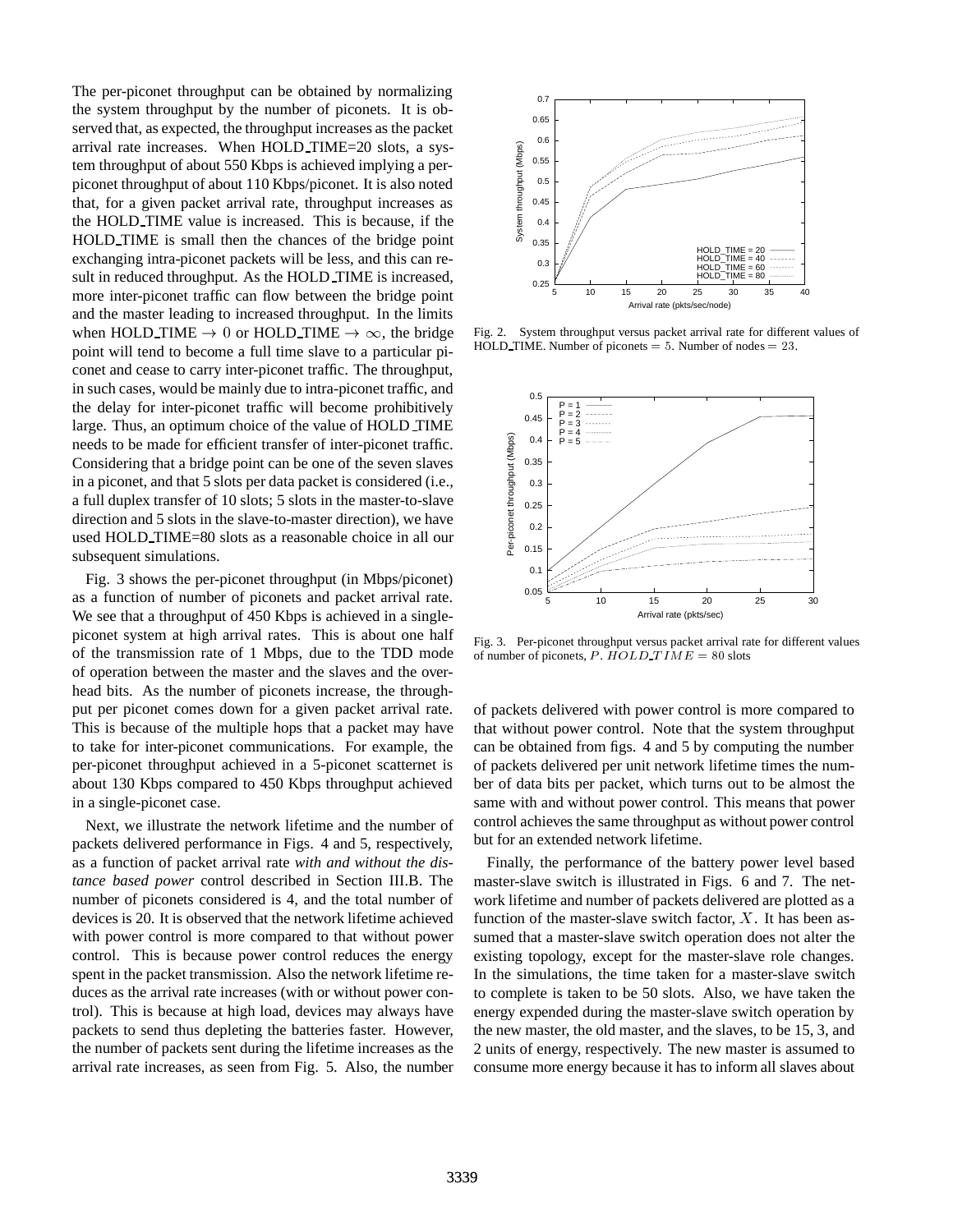The per-piconet throughput can be obtained by normalizing the system throughput by the number of piconets. It is observed that, as expected, the throughput increases as the packet arrival rate increases. When HOLD TIME=20 slots, a system throughput of about 550 Kbps is achieved implying a perpiconet throughput of about 110 Kbps/piconet. It is also noted that, for a given packet arrival rate, throughput increases as the HOLD TIME value is increased. This is because, if the HOLD TIME is small then the chances of the bridge point exchanging intra-piconet packets will be less, and this can result in reduced throughput. As the HOLD TIME is increased, more inter-piconet traffic can flow between the bridge point and the master leading to increased throughput. In the limits when HOLD TIME  $\rightarrow$  0 or HOLD TIME  $\rightarrow \infty$ , the bridge point will tend to become a full time slave to a particular piconet and cease to carry inter-piconet traffic. The throughput, in such cases, would be mainly due to intra-piconet traffic, and the delay for inter-piconet traffic will become prohibitively large. Thus, an optimum choice of the value of HOLD TIME needs to be made for efficient transfer of inter-piconet traffic. Considering that a bridge point can be one of the seven slaves in a piconet, and that 5 slots per data packet is considered (i.e., a full duplex transfer of 10 slots; 5 slots in the master-to-slave direction and 5 slots in the slave-to-master direction), we have used HOLD TIME=80 slots as a reasonable choice in all our subsequent simulations.

Fig. 3 shows the per-piconet throughput (in Mbps/piconet) as a function of number of piconets and packet arrival rate. We see that a throughput of 450 Kbps is achieved in a singlepiconet system at high arrival rates. This is about one half of the transmission rate of 1 Mbps, due to the TDD mode of operation between the master and the slaves and the overhead bits. As the number of piconets increase, the throughput per piconet comes down for a given packet arrival rate. This is because of the multiple hops that a packet may have to take for inter-piconet communications. For example, the per-piconet throughput achieved in a 5-piconet scatternet is about 130 Kbps compared to 450 Kbps throughput achieved in a single-piconet case.

Next, we illustrate the network lifetime and the number of packets delivered performance in Figs. 4 and 5, respectively, as a function of packet arrival rate *with and without the distance based power* control described in Section III.B. The number of piconets considered is 4, and the total number of devices is 20. It is observed that the network lifetime achieved with power control is more compared to that without power control. This is because power control reduces the energy spent in the packet transmission. Also the network lifetime reduces as the arrival rate increases (with or without power control). This is because at high load, devices may always have packets to send thus depleting the batteries faster. However, the number of packets sent during the lifetime increases as the arrival rate increases, as seen from Fig. 5. Also, the number



Fig. 2. System throughput versus packet arrival rate for different values of HOLD TIME. Number of piconets  $= 5$ . Number of nodes  $= 23$ .



Fig. 3. Per-piconet throughput versus packet arrival rate for different values of number of piconets, P.  $HOLD\_TIME = 80$  slots

of packets delivered with power control is more compared to that without power control. Note that the system throughput can be obtained from figs. 4 and 5 by computing the number of packets delivered per unit network lifetime times the number of data bits per packet, which turns out to be almost the same with and without power control. This means that power control achieves the same throughput as without power control but for an extended network lifetime.

Finally, the performance of the battery power level based master-slave switch is illustrated in Figs. 6 and 7. The network lifetime and number of packets delivered are plotted as a function of the master-slave switch factor,  $X$ . It has been assumed that a master-slave switch operation does not alter the existing topology, except for the master-slave role changes. In the simulations, the time taken for a master-slave switch to complete is taken to be 50 slots. Also, we have taken the energy expended during the master-slave switch operation by the new master, the old master, and the slaves, to be 15, 3, and 2 units of energy, respectively. The new master is assumed to consume more energy because it has to inform all slaves about